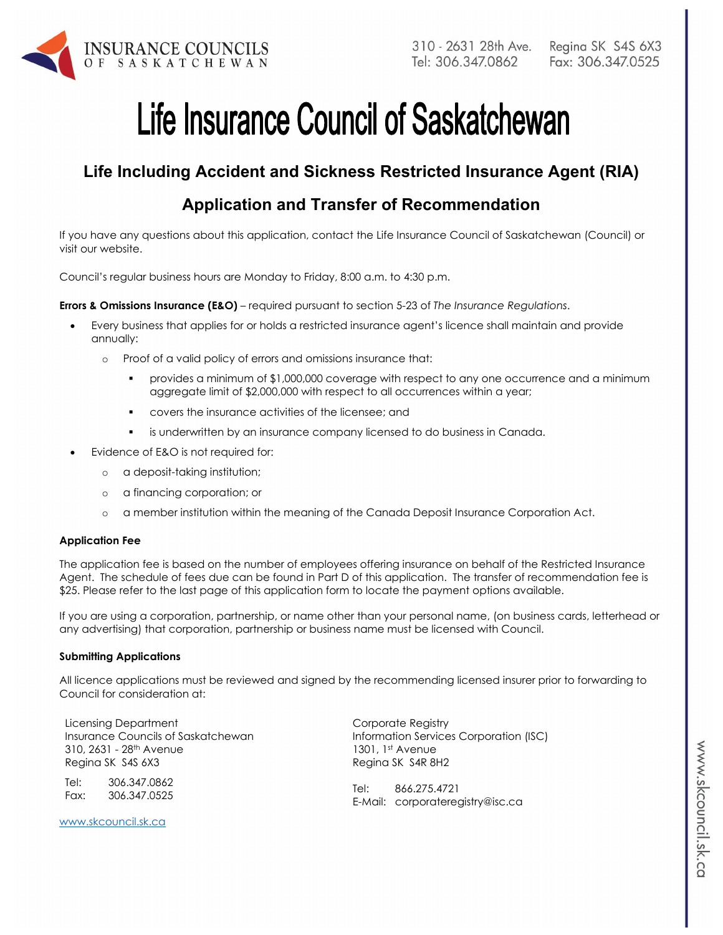

# Life Insurance Council of Saskatchewan

# **Life Including Accident and Sickness Restricted Insurance Agent (RIA)**

## **Application and Transfer of Recommendation**

If you have any questions about this application, contact the Life Insurance Council of Saskatchewan (Council) or visit our website.

Council's regular business hours are Monday to Friday, 8:00 a.m. to 4:30 p.m.

**Errors & Omissions Insurance (E&O)** – required pursuant to section 5-23 of *The Insurance Regulations*.

- Every business that applies for or holds a restricted insurance agent's licence shall maintain and provide annually:
	- o Proof of a valid policy of errors and omissions insurance that:
		- provides a minimum of \$1,000,000 coverage with respect to any one occurrence and a minimum aggregate limit of \$2,000,000 with respect to all occurrences within a year;
		- covers the insurance activities of the licensee; and
		- is underwritten by an insurance company licensed to do business in Canada.
- Evidence of E&O is not required for:
	- o a deposit-taking institution;
	- o a financing corporation; or
	- o a member institution within the meaning of the Canada Deposit Insurance Corporation Act.

#### **Application Fee**

The application fee is based on the number of employees offering insurance on behalf of the Restricted Insurance Agent. The schedule of fees due can be found in Part D of this application. The transfer of recommendation fee is \$25. Please refer to the last page of this application form to locate the payment options available.

If you are using a corporation, partnership, or name other than your personal name, (on business cards, letterhead or any advertising) that corporation, partnership or business name must be licensed with Council.

#### **Submitting Applications**

All licence applications must be reviewed and signed by the recommending licensed insurer prior to forwarding to Council for consideration at:

Licensing Department Insurance Councils of Saskatchewan 310, 2631 - 28th Avenue Regina SK S4S 6X3

Tel: 306.347.0862 Fax: 306.347.0525

www.skcouncil.sk.ca

Corporate Registry Information Services Corporation (ISC) 1301, 1st Avenue Regina SK S4R 8H2

Tel: 866.275.4721 E-Mail: corporateregistry@isc.ca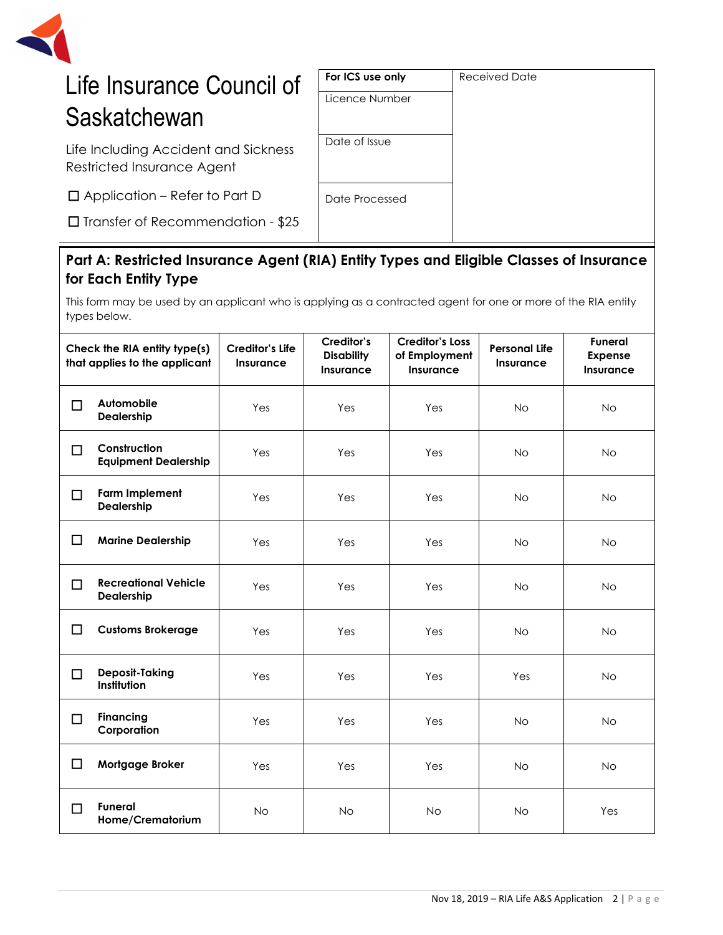

# Life Insurance Council of **Saskatchewan**

Life Including Accident and Sickness Restricted Insurance Agent

□Application – Refer to Part D

□ Transfer of Recommendation - \$25

### **Part A: Restricted Insurance Agent (RIA) Entity Types and Eligible Classes of Insurance for Each Entity Type**

This form may be used by an applicant who is applying as a contracted agent for one or more of the RIA entity types below.

| Check the RIA entity type(s)<br>that applies to the applicant |                                             | <b>Creditor's Life</b><br><b>Insurance</b> | Creditor's<br><b>Disability</b><br>Insurance | <b>Creditor's Loss</b><br>of Employment<br><b>Insurance</b> | <b>Personal Life</b><br>Insurance | <b>Funeral</b><br><b>Expense</b><br><b>Insurance</b> |
|---------------------------------------------------------------|---------------------------------------------|--------------------------------------------|----------------------------------------------|-------------------------------------------------------------|-----------------------------------|------------------------------------------------------|
| □                                                             | Automobile<br>Dealership                    | Yes                                        | Yes                                          | Yes                                                         | <b>No</b>                         | <b>No</b>                                            |
| $\Box$                                                        | Construction<br><b>Equipment Dealership</b> | Yes                                        | Yes                                          | Yes                                                         | <b>No</b>                         | <b>No</b>                                            |
| П                                                             | <b>Farm Implement</b><br>Dealership         | Yes                                        | Yes                                          | Yes                                                         | <b>No</b>                         | <b>No</b>                                            |
| □                                                             | <b>Marine Dealership</b>                    | Yes                                        | Yes                                          | Yes                                                         | <b>No</b>                         | <b>No</b>                                            |
| $\Box$                                                        | <b>Recreational Vehicle</b><br>Dealership   | Yes                                        | Yes                                          | Yes                                                         | No                                | <b>No</b>                                            |
| □                                                             | <b>Customs Brokerage</b>                    | Yes                                        | Yes                                          | Yes                                                         | <b>No</b>                         | <b>No</b>                                            |
| $\Box$                                                        | <b>Deposit-Taking</b><br>Institution        | Yes                                        | Yes                                          | Yes                                                         | Yes                               | <b>No</b>                                            |
| П                                                             | <b>Financing</b><br>Corporation             | Yes                                        | Yes                                          | Yes                                                         | <b>No</b>                         | <b>No</b>                                            |
| □                                                             | Mortgage Broker                             | Yes                                        | Yes                                          | Yes                                                         | No                                | <b>No</b>                                            |
| П                                                             | <b>Funeral</b><br>Home/Crematorium          | <b>No</b>                                  | <b>No</b>                                    | <b>No</b>                                                   | <b>No</b>                         | Yes                                                  |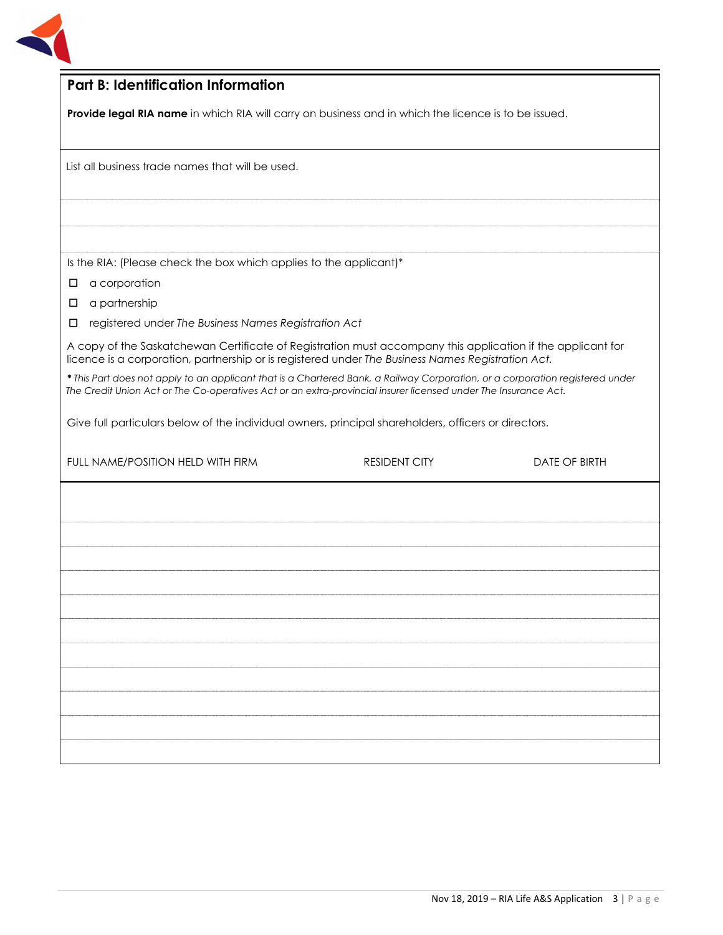

| <b>Part B: Identification Information</b>                                                                                                                                                                                                       |                                                                                                      |                      |  |  |  |
|-------------------------------------------------------------------------------------------------------------------------------------------------------------------------------------------------------------------------------------------------|------------------------------------------------------------------------------------------------------|----------------------|--|--|--|
|                                                                                                                                                                                                                                                 | Provide legal RIA name in which RIA will carry on business and in which the licence is to be issued. |                      |  |  |  |
|                                                                                                                                                                                                                                                 |                                                                                                      |                      |  |  |  |
| List all business trade names that will be used.                                                                                                                                                                                                |                                                                                                      |                      |  |  |  |
|                                                                                                                                                                                                                                                 |                                                                                                      |                      |  |  |  |
|                                                                                                                                                                                                                                                 |                                                                                                      |                      |  |  |  |
|                                                                                                                                                                                                                                                 |                                                                                                      |                      |  |  |  |
| Is the RIA: (Please check the box which applies to the applicant)*                                                                                                                                                                              |                                                                                                      |                      |  |  |  |
| a corporation<br>□                                                                                                                                                                                                                              |                                                                                                      |                      |  |  |  |
| a partnership<br>□                                                                                                                                                                                                                              |                                                                                                      |                      |  |  |  |
| registered under The Business Names Registration Act<br>□                                                                                                                                                                                       |                                                                                                      |                      |  |  |  |
| A copy of the Saskatchewan Certificate of Registration must accompany this application if the applicant for<br>licence is a corporation, partnership or is registered under The Business Names Registration Act.                                |                                                                                                      |                      |  |  |  |
| * This Part does not apply to an applicant that is a Chartered Bank, a Railway Corporation, or a corporation registered under<br>The Credit Union Act or The Co-operatives Act or an extra-provincial insurer licensed under The Insurance Act. |                                                                                                      |                      |  |  |  |
| Give full particulars below of the individual owners, principal shareholders, officers or directors.                                                                                                                                            |                                                                                                      |                      |  |  |  |
| FULL NAME/POSITION HELD WITH FIRM                                                                                                                                                                                                               | <b>RESIDENT CITY</b>                                                                                 | <b>DATE OF BIRTH</b> |  |  |  |
|                                                                                                                                                                                                                                                 |                                                                                                      |                      |  |  |  |
|                                                                                                                                                                                                                                                 |                                                                                                      |                      |  |  |  |
|                                                                                                                                                                                                                                                 |                                                                                                      |                      |  |  |  |
|                                                                                                                                                                                                                                                 |                                                                                                      |                      |  |  |  |
|                                                                                                                                                                                                                                                 |                                                                                                      |                      |  |  |  |
|                                                                                                                                                                                                                                                 |                                                                                                      |                      |  |  |  |
|                                                                                                                                                                                                                                                 |                                                                                                      |                      |  |  |  |
|                                                                                                                                                                                                                                                 |                                                                                                      |                      |  |  |  |
|                                                                                                                                                                                                                                                 |                                                                                                      |                      |  |  |  |
|                                                                                                                                                                                                                                                 |                                                                                                      |                      |  |  |  |
|                                                                                                                                                                                                                                                 |                                                                                                      |                      |  |  |  |
|                                                                                                                                                                                                                                                 |                                                                                                      |                      |  |  |  |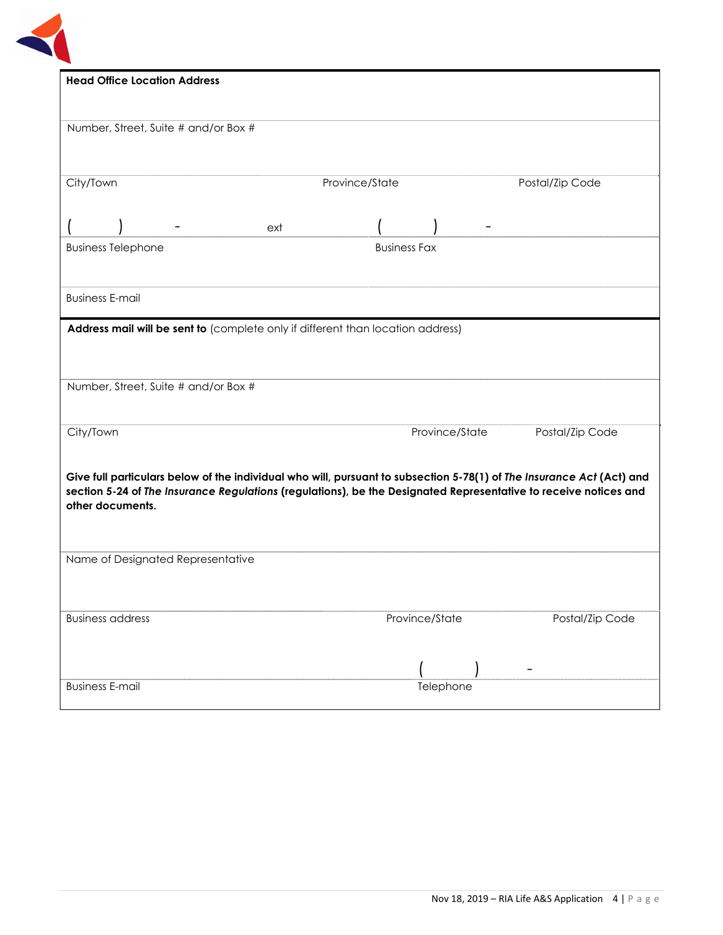

|           | <b>Head Office Location Address</b>  |                                                                                                                       |                     |                |                 |                 |
|-----------|--------------------------------------|-----------------------------------------------------------------------------------------------------------------------|---------------------|----------------|-----------------|-----------------|
|           |                                      |                                                                                                                       |                     |                |                 |                 |
|           | Number, Street, Suite # and/or Box # |                                                                                                                       |                     |                |                 |                 |
|           |                                      |                                                                                                                       |                     |                |                 |                 |
|           |                                      |                                                                                                                       |                     |                |                 |                 |
| City/Town |                                      |                                                                                                                       | Province/State      |                | Postal/Zip Code |                 |
|           |                                      |                                                                                                                       |                     |                |                 |                 |
|           |                                      | ext                                                                                                                   |                     |                |                 |                 |
|           | <b>Business Telephone</b>            |                                                                                                                       | <b>Business Fax</b> |                |                 |                 |
|           |                                      |                                                                                                                       |                     |                |                 |                 |
|           |                                      |                                                                                                                       |                     |                |                 |                 |
|           | <b>Business E-mail</b>               |                                                                                                                       |                     |                |                 |                 |
|           |                                      |                                                                                                                       |                     |                |                 |                 |
|           |                                      | Address mail will be sent to (complete only if different than location address)                                       |                     |                |                 |                 |
|           |                                      |                                                                                                                       |                     |                |                 |                 |
|           |                                      |                                                                                                                       |                     |                |                 |                 |
|           | Number, Street, Suite # and/or Box # |                                                                                                                       |                     |                |                 |                 |
|           |                                      |                                                                                                                       |                     |                |                 |                 |
| City/Town |                                      |                                                                                                                       |                     | Province/State | Postal/Zip Code |                 |
|           |                                      |                                                                                                                       |                     |                |                 |                 |
|           |                                      | Give full particulars below of the individual who will, pursuant to subsection 5-78(1) of The Insurance Act (Act) and |                     |                |                 |                 |
|           |                                      | section 5-24 of The Insurance Regulations (regulations), be the Designated Representative to receive notices and      |                     |                |                 |                 |
|           | other documents.                     |                                                                                                                       |                     |                |                 |                 |
|           |                                      |                                                                                                                       |                     |                |                 |                 |
|           |                                      |                                                                                                                       |                     |                |                 |                 |
|           | Name of Designated Representative    |                                                                                                                       |                     |                |                 |                 |
|           |                                      |                                                                                                                       |                     |                |                 |                 |
|           |                                      |                                                                                                                       |                     |                |                 |                 |
|           | <b>Business address</b>              |                                                                                                                       |                     | Province/State |                 | Postal/Zip Code |
|           |                                      |                                                                                                                       |                     |                |                 |                 |
|           |                                      |                                                                                                                       |                     |                |                 |                 |
|           | <b>Business E-mail</b>               |                                                                                                                       |                     | Telephone      |                 |                 |
|           |                                      |                                                                                                                       |                     |                |                 |                 |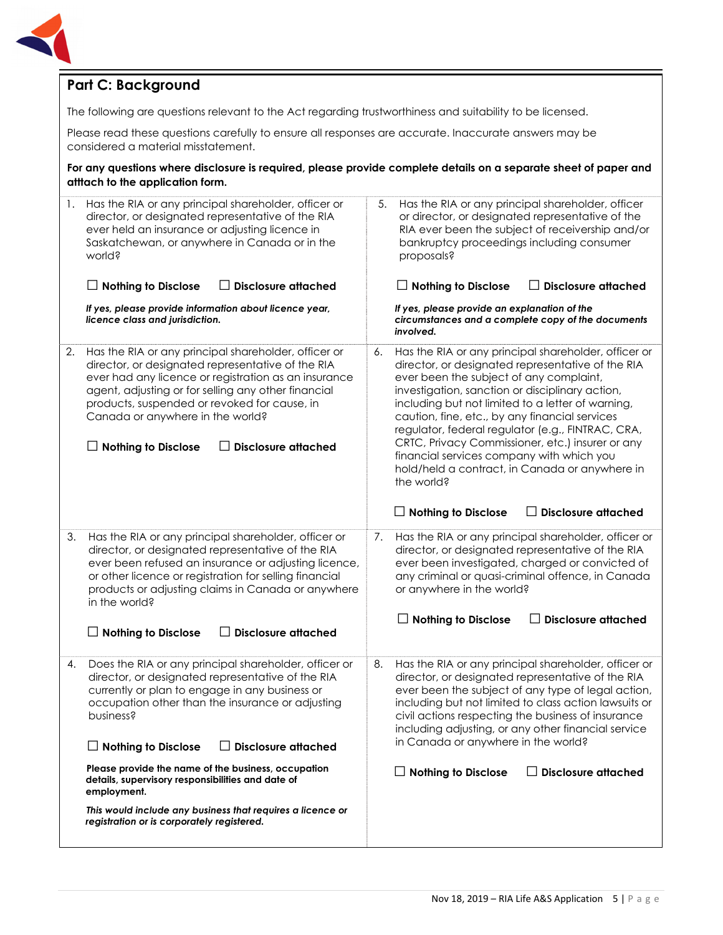

#### **Part C: Background**

The following are questions relevant to the Act regarding trustworthiness and suitability to be licensed.

Please read these questions carefully to ensure all responses are accurate. Inaccurate answers may be considered a material misstatement.

**For any questions where disclosure is required, please provide complete details on a separate sheet of paper and atttach to the application form.** 

| 1. | Has the RIA or any principal shareholder, officer or<br>director, or designated representative of the RIA<br>ever held an insurance or adjusting licence in<br>Saskatchewan, or anywhere in Canada or in the<br>world?<br><b>Disclosure attached</b><br><b>Nothing to Disclose</b><br>$\mathsf{L}$                                                                                  | Has the RIA or any principal shareholder, officer<br>5.<br>or director, or designated representative of the<br>RIA ever been the subject of receivership and/or<br>bankruptcy proceedings including consumer<br>proposals?<br>$\Box$ Nothing to Disclose<br><b>Disclosure attached</b>                                                                                                                                                                                                                                                                                                                  |
|----|-------------------------------------------------------------------------------------------------------------------------------------------------------------------------------------------------------------------------------------------------------------------------------------------------------------------------------------------------------------------------------------|---------------------------------------------------------------------------------------------------------------------------------------------------------------------------------------------------------------------------------------------------------------------------------------------------------------------------------------------------------------------------------------------------------------------------------------------------------------------------------------------------------------------------------------------------------------------------------------------------------|
|    | If yes, please provide information about licence year,<br>licence class and jurisdiction.                                                                                                                                                                                                                                                                                           | If yes, please provide an explanation of the<br>circumstances and a complete copy of the documents<br>involved.                                                                                                                                                                                                                                                                                                                                                                                                                                                                                         |
| 2. | Has the RIA or any principal shareholder, officer or<br>director, or designated representative of the RIA<br>ever had any licence or registration as an insurance<br>agent, adjusting or for selling any other financial<br>products, suspended or revoked for cause, in<br>Canada or anywhere in the world?<br><b>Disclosure attached</b><br><b>Nothing to Disclose</b><br>$\perp$ | Has the RIA or any principal shareholder, officer or<br>6.<br>director, or designated representative of the RIA<br>ever been the subject of any complaint,<br>investigation, sanction or disciplinary action,<br>including but not limited to a letter of warning,<br>caution, fine, etc., by any financial services<br>regulator, federal regulator (e.g., FINTRAC, CRA,<br>CRTC, Privacy Commissioner, etc.) insurer or any<br>financial services company with which you<br>hold/held a contract, in Canada or anywhere in<br>the world?<br><b>Disclosure attached</b><br>$\perp$ Nothing to Disclose |
| 3. | Has the RIA or any principal shareholder, officer or<br>director, or designated representative of the RIA<br>ever been refused an insurance or adjusting licence,<br>or other licence or registration for selling financial<br>products or adjusting claims in Canada or anywhere<br>in the world?                                                                                  | 7.<br>Has the RIA or any principal shareholder, officer or<br>director, or designated representative of the RIA<br>ever been investigated, charged or convicted of<br>any criminal or quasi-criminal offence, in Canada<br>or anywhere in the world?<br>$\Box$ Nothing to Disclose<br><b>Disclosure attached</b>                                                                                                                                                                                                                                                                                        |
|    | <b>Disclosure attached</b><br><b>Nothing to Disclose</b>                                                                                                                                                                                                                                                                                                                            |                                                                                                                                                                                                                                                                                                                                                                                                                                                                                                                                                                                                         |
| 4. | Does the RIA or any principal shareholder, officer or<br>director, or designated representative of the RIA<br>currently or plan to engage in any business or<br>occupation other than the insurance or adjusting<br>business?<br><b>Disclosure attached</b><br>$\perp$ Nothing to Disclose                                                                                          | Has the RIA or any principal shareholder, officer or<br>8.<br>director, or designated representative of the RIA<br>ever been the subject of any type of legal action,<br>including but not limited to class action lawsuits or<br>civil actions respecting the business of insurance<br>including adjusting, or any other financial service<br>in Canada or anywhere in the world?                                                                                                                                                                                                                      |
|    | Please provide the name of the business, occupation<br>details, supervisory responsibilities and date of<br>employment.                                                                                                                                                                                                                                                             | <b>Disclosure attached</b><br>$\Box$ Nothing to Disclose                                                                                                                                                                                                                                                                                                                                                                                                                                                                                                                                                |
|    | This would include any business that requires a licence or<br>registration or is corporately registered.                                                                                                                                                                                                                                                                            |                                                                                                                                                                                                                                                                                                                                                                                                                                                                                                                                                                                                         |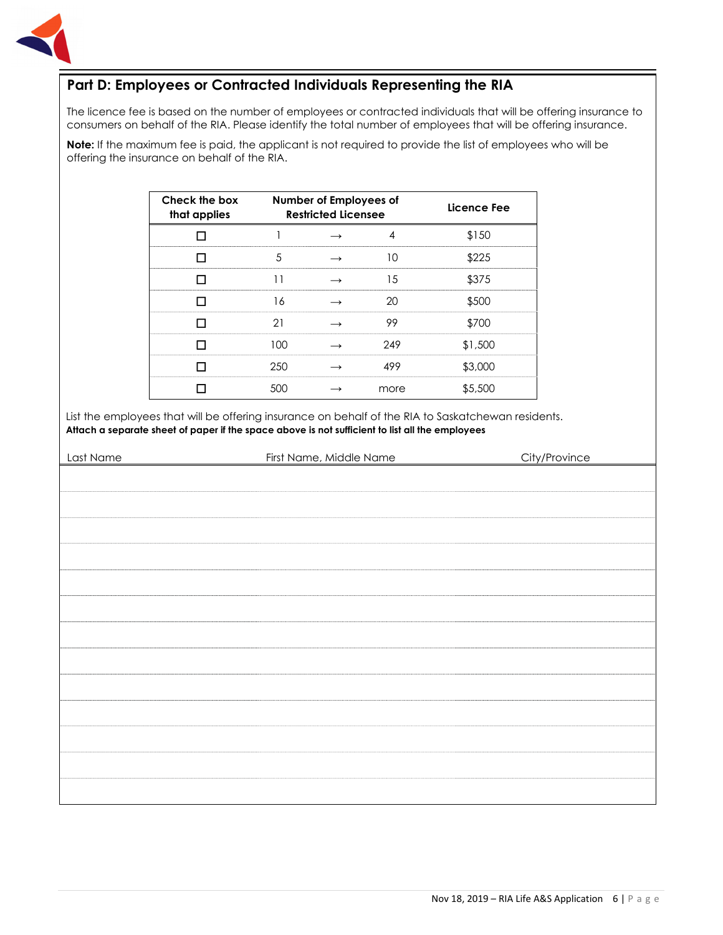

#### **Part D: Employees or Contracted Individuals Representing the RIA**

The licence fee is based on the number of employees or contracted individuals that will be offering insurance to consumers on behalf of the RIA. Please identify the total number of employees that will be offering insurance.

**Note:** If the maximum fee is paid, the applicant is not required to provide the list of employees who will be offering the insurance on behalf of the RIA.

| Check the box<br>that applies |     | Number of Employees of<br><b>Restricted Licensee</b> |      | Licence Fee |
|-------------------------------|-----|------------------------------------------------------|------|-------------|
|                               |     |                                                      |      | \$150       |
|                               |     |                                                      |      | \$225       |
|                               |     |                                                      | 15   | \$375       |
|                               | 16  |                                                      | ንበ   | \$500       |
|                               |     |                                                      | 99   | \$700       |
|                               | 100 |                                                      | 249  | \$1,500     |
|                               | 250 |                                                      | 499  | \$3,000     |
|                               | 500 |                                                      | more | \$5,500     |

List the employees that will be offering insurance on behalf of the RIA to Saskatchewan residents. **Attach a separate sheet of paper if the space above is not sufficient to list all the employees**

| Last Name | First Name, Middle Name | City/Province |
|-----------|-------------------------|---------------|
|           |                         |               |
|           |                         |               |
|           |                         |               |
|           |                         |               |
|           |                         |               |
|           |                         |               |
|           |                         |               |
|           |                         |               |
|           |                         |               |
|           |                         |               |
|           |                         |               |
|           |                         |               |
|           |                         |               |
|           |                         |               |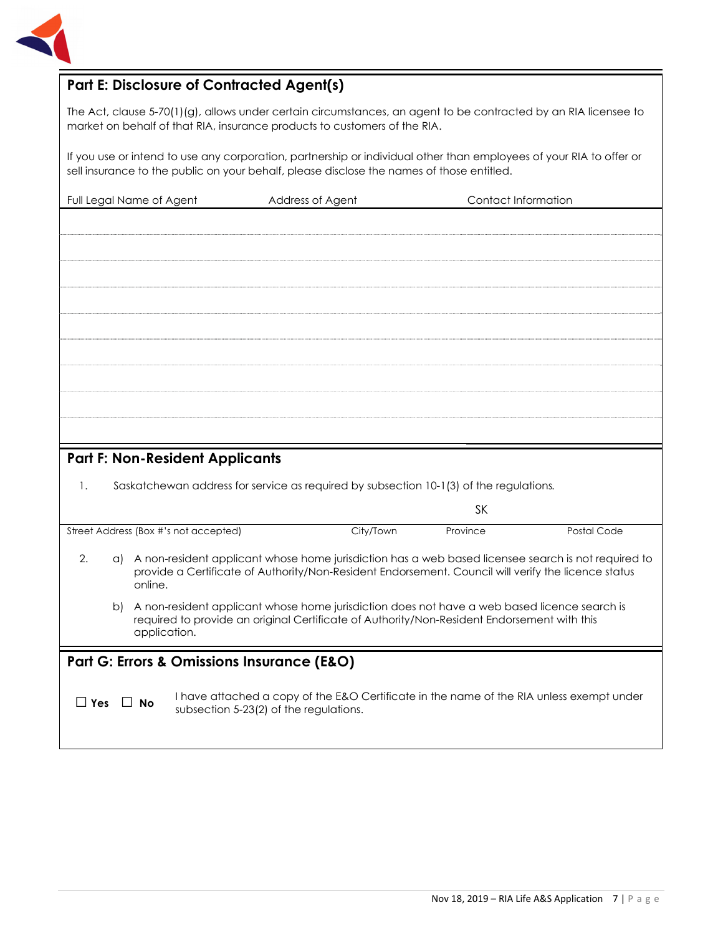

#### **Part E: Disclosure of Contracted Agent(s)**

The Act, clause 5-70(1)(g), allows under certain circumstances, an agent to be contracted by an RIA licensee to market on behalf of that RIA, insurance products to customers of the RIA.

If you use or intend to use any corporation, partnership or individual other than employees of your RIA to offer or sell insurance to the public on your behalf, please disclose the names of those entitled.

| Full Legal Name of Agent               | Address of Agent                                                                       | Contact Information |  |
|----------------------------------------|----------------------------------------------------------------------------------------|---------------------|--|
|                                        |                                                                                        |                     |  |
|                                        |                                                                                        |                     |  |
|                                        |                                                                                        |                     |  |
|                                        |                                                                                        |                     |  |
|                                        |                                                                                        |                     |  |
|                                        |                                                                                        |                     |  |
|                                        |                                                                                        |                     |  |
|                                        |                                                                                        |                     |  |
|                                        |                                                                                        |                     |  |
|                                        |                                                                                        |                     |  |
|                                        |                                                                                        |                     |  |
| <b>Part F: Non-Resident Applicants</b> |                                                                                        |                     |  |
| 1.                                     | Saskatchewan address for service as required by subsection 10-1(3) of the regulations. |                     |  |
|                                        |                                                                                        | <b>SK</b>           |  |

| City/Town | Province | Postal Code |
|-----------|----------|-------------|
|           |          | ∿ا ف        |

2. a) A non-resident applicant whose home jurisdiction has a web based licensee search is not required to provide a Certificate of Authority/Non-Resident Endorsement. Council will verify the licence status online.

b) A non-resident applicant whose home jurisdiction does not have a web based licence search is required to provide an original Certificate of Authority/Non-Resident Endorsement with this application.

#### **Part G: Errors & Omissions Insurance (E&O)**

□ **Yes** □ **No** I have attached a copy of the E&O Certificate in the name of the RIA unless exempt under subsection 5-23(2) of the regulations.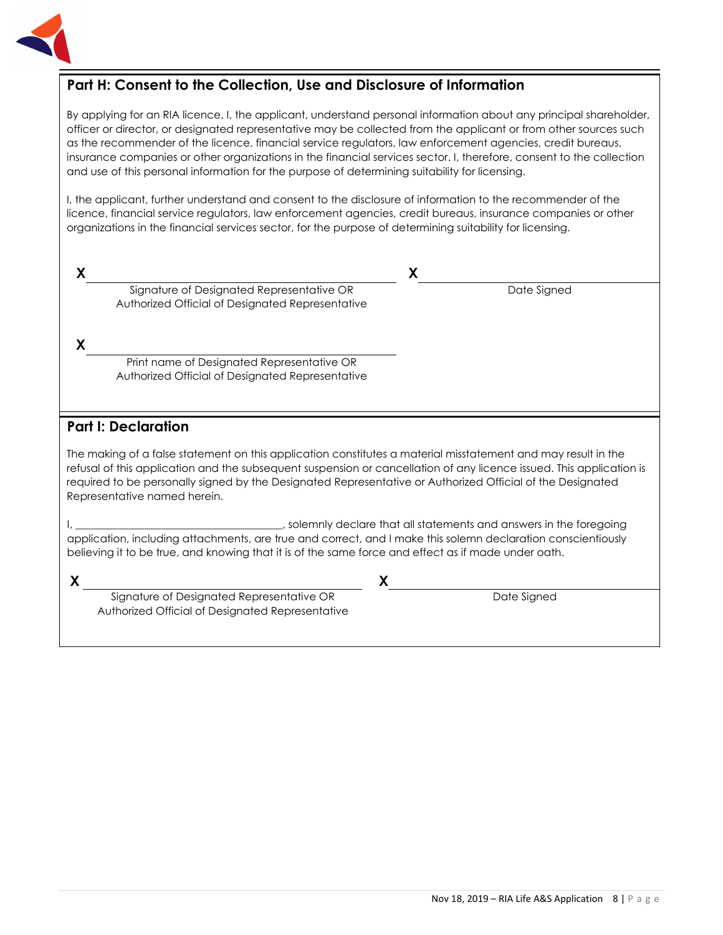

#### **Part H: Consent to the Collection, Use and Disclosure of Information**

By applying for an RIA licence, I, the applicant, understand personal information about any principal shareholder, officer or director, or designated representative may be collected from the applicant or from other sources such as the recommender of the licence, financial service regulators, law enforcement agencies, credit bureaus, insurance companies or other organizations in the financial services sector. I, therefore, consent to the collection and use of this personal information for the purpose of determining suitability for licensing.

I, the applicant, further understand and consent to the disclosure of information to the recommender of the licence, financial service regulators, law enforcement agencies, credit bureaus, insurance companies or other organizations in the financial services sector, for the purpose of determining suitability for licensing.

| X  |                                                                                                                                                                                                                                                                                                                                                                                     | X                                                                   |
|----|-------------------------------------------------------------------------------------------------------------------------------------------------------------------------------------------------------------------------------------------------------------------------------------------------------------------------------------------------------------------------------------|---------------------------------------------------------------------|
|    | Signature of Designated Representative OR<br>Authorized Official of Designated Representative                                                                                                                                                                                                                                                                                       | Date Signed                                                         |
| X. |                                                                                                                                                                                                                                                                                                                                                                                     |                                                                     |
|    | Print name of Designated Representative OR<br>Authorized Official of Designated Representative                                                                                                                                                                                                                                                                                      |                                                                     |
|    | <b>Part I: Declaration</b>                                                                                                                                                                                                                                                                                                                                                          |                                                                     |
|    | The making of a false statement on this application constitutes a material misstatement and may result in the<br>refusal of this application and the subsequent suspension or cancellation of any licence issued. This application is<br>required to be personally signed by the Designated Representative or Authorized Official of the Designated<br>Representative named herein. |                                                                     |
|    | application, including attachments, are true and correct, and I make this solemn declaration conscientiously<br>believing it to be true, and knowing that it is of the same force and effect as if made under oath.                                                                                                                                                                 | , solemnly declare that all statements and answers in the foregoing |

**X X** Signature of Designated Representative OR Authorized Official of Designated Representative

Date Signed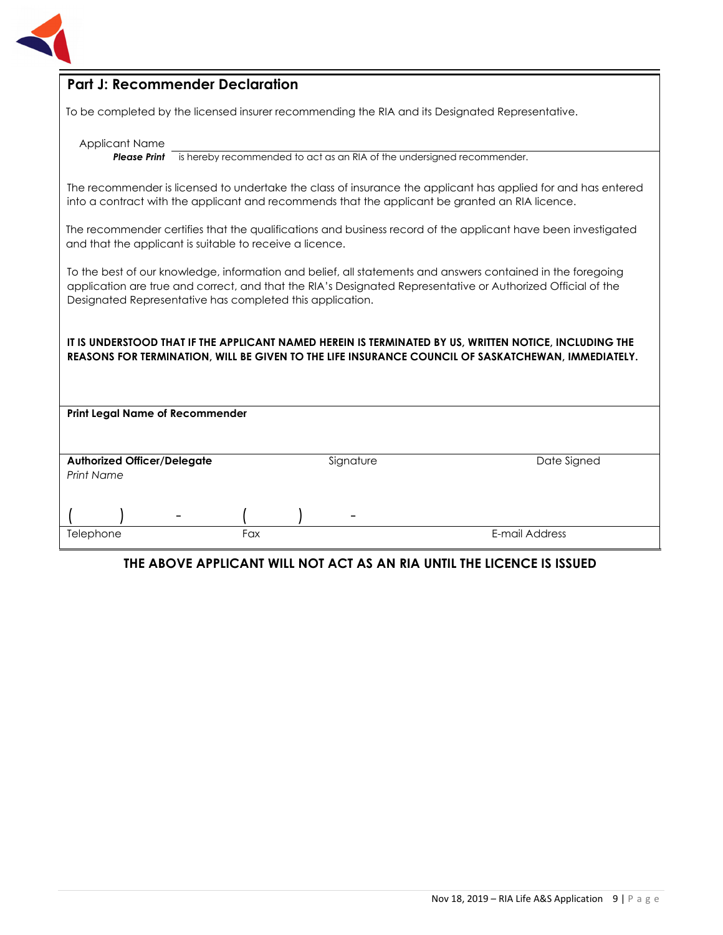

#### **Part J: Recommender Declaration**

To be completed by the licensed insurer recommending the RIA and its Designated Representative.

Applicant Name

**Please Print** is hereby recommended to act as an RIA of the undersigned recommender.

The recommender is licensed to undertake the class of insurance the applicant has applied for and has entered into a contract with the applicant and recommends that the applicant be granted an RIA licence.

The recommender certifies that the qualifications and business record of the applicant have been investigated and that the applicant is suitable to receive a licence.

To the best of our knowledge, information and belief, all statements and answers contained in the foregoing application are true and correct, and that the RIA's Designated Representative or Authorized Official of the Designated Representative has completed this application.

#### **IT IS UNDERSTOOD THAT IF THE APPLICANT NAMED HEREIN IS TERMINATED BY US, WRITTEN NOTICE, INCLUDING THE REASONS FOR TERMINATION, WILL BE GIVEN TO THE LIFE INSURANCE COUNCIL OF SASKATCHEWAN, IMMEDIATELY.**

|                                                         | <b>Print Legal Name of Recommender</b> |     |  |                          |                |
|---------------------------------------------------------|----------------------------------------|-----|--|--------------------------|----------------|
|                                                         |                                        |     |  |                          |                |
|                                                         |                                        |     |  |                          |                |
|                                                         |                                        |     |  | Signature                | Date Signed    |
| <b>Authorized Officer/Delegate</b><br><b>Print Name</b> |                                        |     |  |                          |                |
|                                                         |                                        |     |  |                          |                |
|                                                         |                                        |     |  |                          |                |
|                                                         |                                        |     |  |                          |                |
|                                                         | -                                      |     |  | $\overline{\phantom{a}}$ |                |
| Telephone                                               |                                        | Fax |  |                          | E-mail Address |
|                                                         |                                        |     |  |                          |                |

#### **THE ABOVE APPLICANT WILL NOT ACT AS AN RIA UNTIL THE LICENCE IS ISSUED**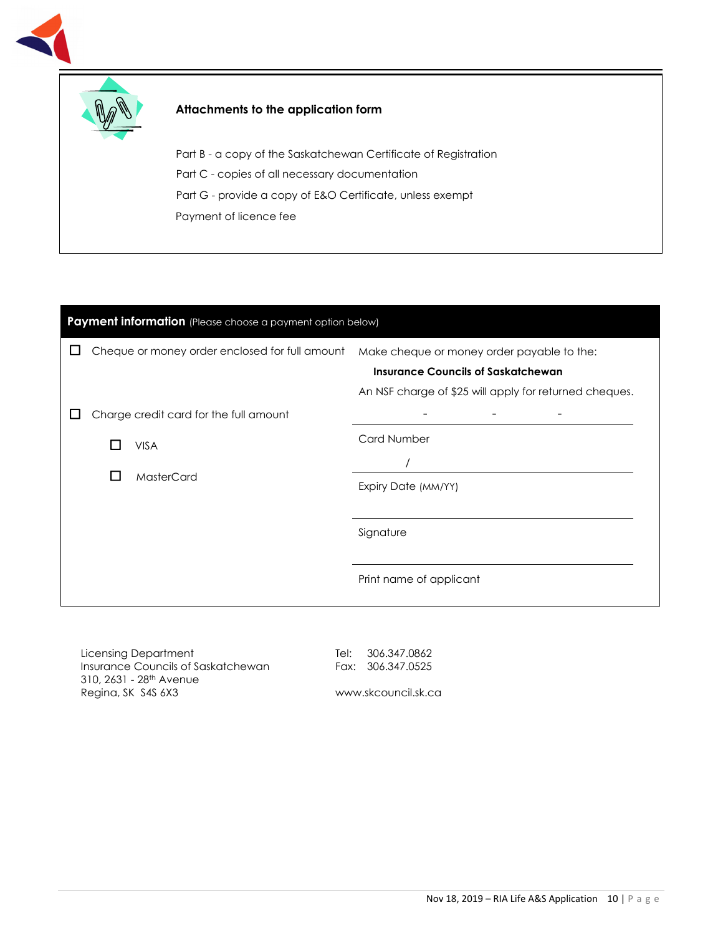



#### **Attachments to the application form**

Part B - a copy of the Saskatchewan Certificate of Registration Part C - copies of all necessary documentation Part G - provide a copy of E&O Certificate, unless exempt Payment of licence fee

# **Payment information** (Please choose a payment option below) □ Cheque or money order enclosed for full amount Make cheque or money order payable to the: **Insurance Councils of Saskatchewan** An NSF charge of \$25 will apply for returned cheques. □ Charge credit card for the full amount □ VISA □ MasterCard - - - Card Number / Expiry Date (MM/YY) Signature Print name of applicant

Licensing Department Insurance Councils of Saskatchewan 310, 2631 - 28th Avenue Regina, SK S4S 6X3

Tel: 306.347.0862 Fax: 306.347.0525

www.skcouncil.sk.ca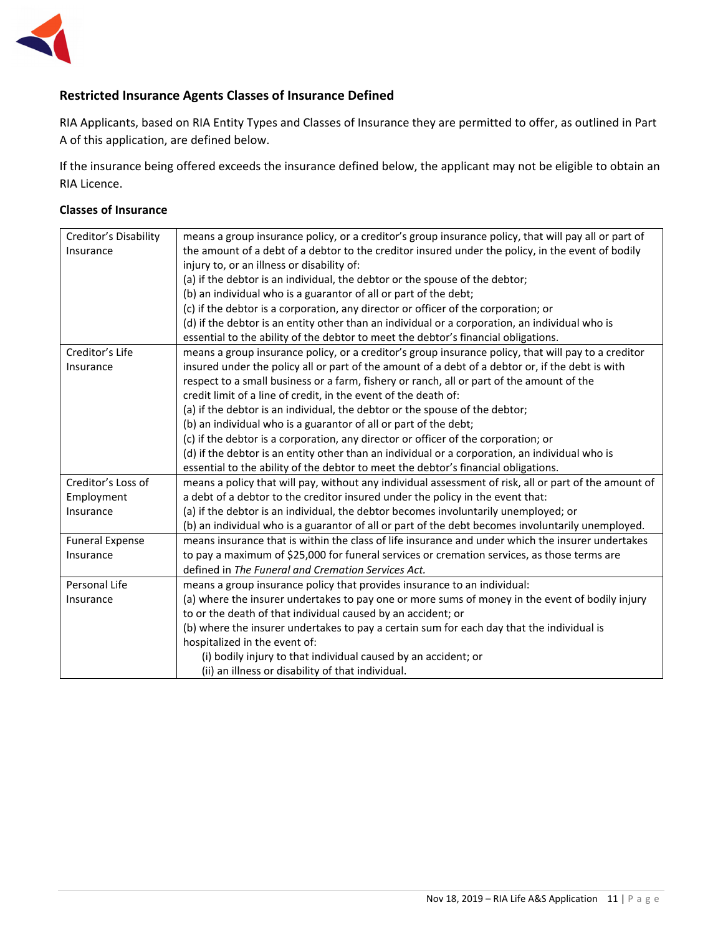

#### **Restricted Insurance Agents Classes of Insurance Defined**

RIA Applicants, based on RIA Entity Types and Classes of Insurance they are permitted to offer, as outlined in Part A of this application, are defined below.

If the insurance being offered exceeds the insurance defined below, the applicant may not be eligible to obtain an RIA Licence.

#### **Classes of Insurance**

| Creditor's Disability  | means a group insurance policy, or a creditor's group insurance policy, that will pay all or part of  |
|------------------------|-------------------------------------------------------------------------------------------------------|
| Insurance              | the amount of a debt of a debtor to the creditor insured under the policy, in the event of bodily     |
|                        | injury to, or an illness or disability of:                                                            |
|                        | (a) if the debtor is an individual, the debtor or the spouse of the debtor;                           |
|                        | (b) an individual who is a guarantor of all or part of the debt;                                      |
|                        | (c) if the debtor is a corporation, any director or officer of the corporation; or                    |
|                        | (d) if the debtor is an entity other than an individual or a corporation, an individual who is        |
|                        | essential to the ability of the debtor to meet the debtor's financial obligations.                    |
| Creditor's Life        | means a group insurance policy, or a creditor's group insurance policy, that will pay to a creditor   |
| Insurance              | insured under the policy all or part of the amount of a debt of a debtor or, if the debt is with      |
|                        | respect to a small business or a farm, fishery or ranch, all or part of the amount of the             |
|                        | credit limit of a line of credit, in the event of the death of:                                       |
|                        | (a) if the debtor is an individual, the debtor or the spouse of the debtor;                           |
|                        | (b) an individual who is a guarantor of all or part of the debt;                                      |
|                        | (c) if the debtor is a corporation, any director or officer of the corporation; or                    |
|                        | (d) if the debtor is an entity other than an individual or a corporation, an individual who is        |
|                        | essential to the ability of the debtor to meet the debtor's financial obligations.                    |
| Creditor's Loss of     | means a policy that will pay, without any individual assessment of risk, all or part of the amount of |
| Employment             | a debt of a debtor to the creditor insured under the policy in the event that:                        |
| Insurance              | (a) if the debtor is an individual, the debtor becomes involuntarily unemployed; or                   |
|                        | (b) an individual who is a guarantor of all or part of the debt becomes involuntarily unemployed.     |
| <b>Funeral Expense</b> | means insurance that is within the class of life insurance and under which the insurer undertakes     |
| Insurance              | to pay a maximum of \$25,000 for funeral services or cremation services, as those terms are           |
|                        | defined in The Funeral and Cremation Services Act.                                                    |
| Personal Life          | means a group insurance policy that provides insurance to an individual:                              |
| Insurance              | (a) where the insurer undertakes to pay one or more sums of money in the event of bodily injury       |
|                        | to or the death of that individual caused by an accident; or                                          |
|                        | (b) where the insurer undertakes to pay a certain sum for each day that the individual is             |
|                        | hospitalized in the event of:                                                                         |
|                        | (i) bodily injury to that individual caused by an accident; or                                        |
|                        | (ii) an illness or disability of that individual.                                                     |